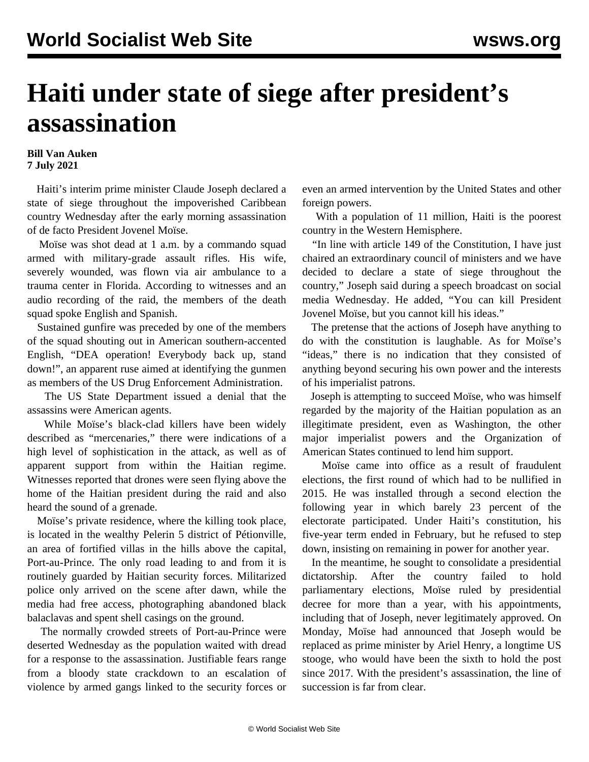## **Haiti under state of siege after president's assassination**

## **Bill Van Auken 7 July 2021**

 Haiti's interim prime minister Claude Joseph declared a state of siege throughout the impoverished Caribbean country Wednesday after the early morning assassination of de facto President Jovenel Moïse.

 Moïse was shot dead at 1 a.m. by a commando squad armed with military-grade assault rifles. His wife, severely wounded, was flown via air ambulance to a trauma center in Florida. According to witnesses and an audio recording of the raid, the members of the death squad spoke English and Spanish.

 Sustained gunfire was preceded by one of the members of the squad shouting out in American southern-accented English, "DEA operation! Everybody back up, stand down!", an apparent ruse aimed at identifying the gunmen as members of the US Drug Enforcement Administration.

 The US State Department issued a denial that the assassins were American agents.

 While Moïse's black-clad killers have been widely described as "mercenaries," there were indications of a high level of sophistication in the attack, as well as of apparent support from within the Haitian regime. Witnesses reported that drones were seen flying above the home of the Haitian president during the raid and also heard the sound of a grenade.

 Moïse's private residence, where the killing took place, is located in the wealthy Pelerin 5 district of Pétionville, an area of fortified villas in the hills above the capital, Port-au-Prince. The only road leading to and from it is routinely guarded by Haitian security forces. Militarized police only arrived on the scene after dawn, while the media had free access, photographing abandoned black balaclavas and spent shell casings on the ground.

 The normally crowded streets of Port-au-Prince were deserted Wednesday as the population waited with dread for a response to the assassination. Justifiable fears range from a bloody state crackdown to an escalation of violence by armed gangs linked to the security forces or even an armed intervention by the United States and other foreign powers.

 With a population of 11 million, Haiti is the poorest country in the Western Hemisphere.

 "In line with article 149 of the Constitution, I have just chaired an extraordinary council of ministers and we have decided to declare a state of siege throughout the country," Joseph said during a speech broadcast on social media Wednesday. He added, "You can kill President Jovenel Moïse, but you cannot kill his ideas."

 The pretense that the actions of Joseph have anything to do with the constitution is laughable. As for Moïse's "ideas," there is no indication that they consisted of anything beyond securing his own power and the interests of his imperialist patrons.

 Joseph is attempting to succeed Moïse, who was himself regarded by the majority of the Haitian population as an illegitimate president, even as Washington, the other major imperialist powers and the Organization of American States continued to lend him support.

 Moïse came into office as a result of fraudulent elections, the first round of which had to be nullified in 2015. He was installed through a second election the following year in which barely 23 percent of the electorate participated. Under Haiti's constitution, his five-year term ended in February, but he refused to step down, insisting on remaining in power for another year.

 In the meantime, he sought to consolidate a presidential dictatorship. After the country failed to hold parliamentary elections, Moïse ruled by presidential decree for more than a year, with his appointments, including that of Joseph, never legitimately approved. On Monday, Moïse had announced that Joseph would be replaced as prime minister by Ariel Henry, a longtime US stooge, who would have been the sixth to hold the post since 2017. With the president's assassination, the line of succession is far from clear.